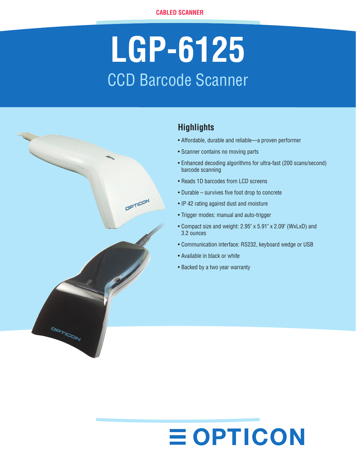# **LGP-6125** CCD Barcode Scanner



### **Highlights**

- Affordable, durable and reliable—a proven performer
- Scanner contains no moving parts
- Enhanced decoding algorithms for ultra-fast (200 scans/second) barcode scanning
- Reads 1D barcodes from LCD screens
- Durable survives five foot drop to concrete
- IP 42 rating against dust and moisture
- Trigger modes: manual and auto-trigger
- Compact size and weight: 2.95" x 5.91" x 2.09" (WxLxD) and 3.2 ounces
- Communication interface: RS232, keyboard wedge or USB
- Available in black or white
- Backed by a two year warranty